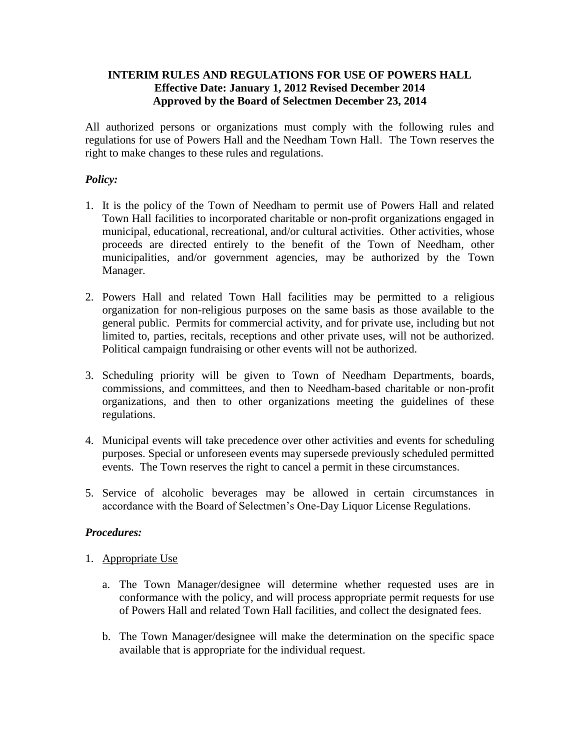### **INTERIM RULES AND REGULATIONS FOR USE OF POWERS HALL Effective Date: January 1, 2012 Revised December 2014 Approved by the Board of Selectmen December 23, 2014**

All authorized persons or organizations must comply with the following rules and regulations for use of Powers Hall and the Needham Town Hall. The Town reserves the right to make changes to these rules and regulations.

## *Policy:*

- 1. It is the policy of the Town of Needham to permit use of Powers Hall and related Town Hall facilities to incorporated charitable or non-profit organizations engaged in municipal, educational, recreational, and/or cultural activities. Other activities, whose proceeds are directed entirely to the benefit of the Town of Needham, other municipalities, and/or government agencies, may be authorized by the Town Manager.
- 2. Powers Hall and related Town Hall facilities may be permitted to a religious organization for non-religious purposes on the same basis as those available to the general public. Permits for commercial activity, and for private use, including but not limited to, parties, recitals, receptions and other private uses, will not be authorized. Political campaign fundraising or other events will not be authorized.
- 3. Scheduling priority will be given to Town of Needham Departments, boards, commissions, and committees, and then to Needham-based charitable or non-profit organizations, and then to other organizations meeting the guidelines of these regulations.
- 4. Municipal events will take precedence over other activities and events for scheduling purposes. Special or unforeseen events may supersede previously scheduled permitted events. The Town reserves the right to cancel a permit in these circumstances.
- 5. Service of alcoholic beverages may be allowed in certain circumstances in accordance with the Board of Selectmen's One-Day Liquor License Regulations.

#### *Procedures:*

- 1. Appropriate Use
	- a. The Town Manager/designee will determine whether requested uses are in conformance with the policy, and will process appropriate permit requests for use of Powers Hall and related Town Hall facilities, and collect the designated fees.
	- b. The Town Manager/designee will make the determination on the specific space available that is appropriate for the individual request.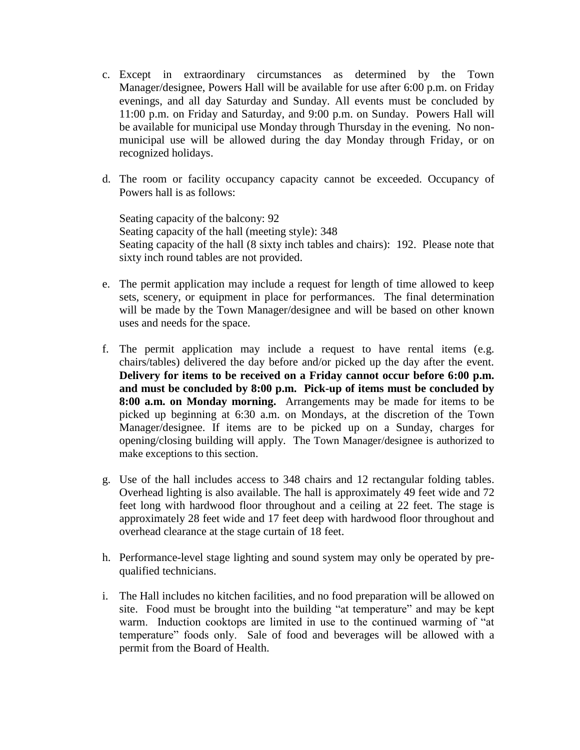- c. Except in extraordinary circumstances as determined by the Town Manager/designee, Powers Hall will be available for use after 6:00 p.m. on Friday evenings, and all day Saturday and Sunday. All events must be concluded by 11:00 p.m. on Friday and Saturday, and 9:00 p.m. on Sunday. Powers Hall will be available for municipal use Monday through Thursday in the evening. No nonmunicipal use will be allowed during the day Monday through Friday, or on recognized holidays.
- d. The room or facility occupancy capacity cannot be exceeded. Occupancy of Powers hall is as follows:

Seating capacity of the balcony: 92 Seating capacity of the hall (meeting style): 348 Seating capacity of the hall (8 sixty inch tables and chairs): 192. Please note that sixty inch round tables are not provided.

- e. The permit application may include a request for length of time allowed to keep sets, scenery, or equipment in place for performances. The final determination will be made by the Town Manager/designee and will be based on other known uses and needs for the space.
- f. The permit application may include a request to have rental items (e.g. chairs/tables) delivered the day before and/or picked up the day after the event. **Delivery for items to be received on a Friday cannot occur before 6:00 p.m. and must be concluded by 8:00 p.m. Pick-up of items must be concluded by 8:00 a.m. on Monday morning.** Arrangements may be made for items to be picked up beginning at 6:30 a.m. on Mondays, at the discretion of the Town Manager/designee. If items are to be picked up on a Sunday, charges for opening/closing building will apply. The Town Manager/designee is authorized to make exceptions to this section.
- g. Use of the hall includes access to 348 chairs and 12 rectangular folding tables. Overhead lighting is also available. The hall is approximately 49 feet wide and 72 feet long with hardwood floor throughout and a ceiling at 22 feet. The stage is approximately 28 feet wide and 17 feet deep with hardwood floor throughout and overhead clearance at the stage curtain of 18 feet.
- h. Performance-level stage lighting and sound system may only be operated by prequalified technicians.
- i. The Hall includes no kitchen facilities, and no food preparation will be allowed on site. Food must be brought into the building "at temperature" and may be kept warm. Induction cooktops are limited in use to the continued warming of "at temperature" foods only. Sale of food and beverages will be allowed with a permit from the Board of Health.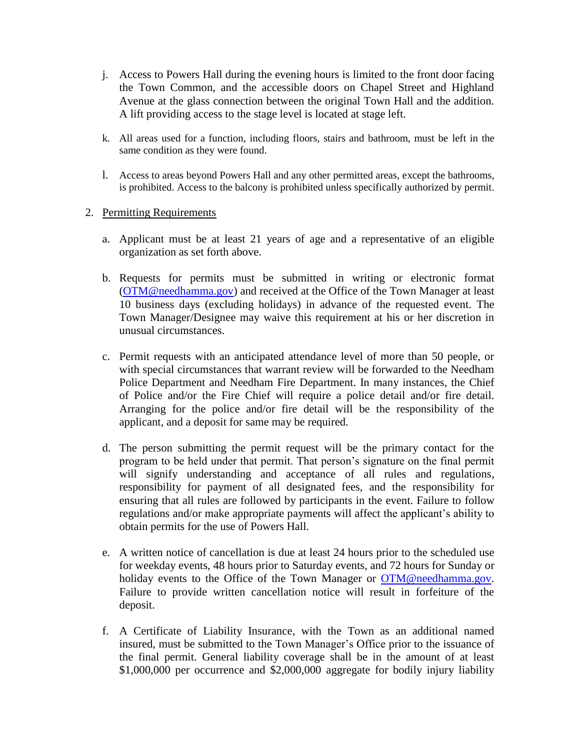- j. Access to Powers Hall during the evening hours is limited to the front door facing the Town Common, and the accessible doors on Chapel Street and Highland Avenue at the glass connection between the original Town Hall and the addition. A lift providing access to the stage level is located at stage left.
- k. All areas used for a function, including floors, stairs and bathroom, must be left in the same condition as they were found.
- l. Access to areas beyond Powers Hall and any other permitted areas, except the bathrooms, is prohibited. Access to the balcony is prohibited unless specifically authorized by permit.

### 2. Permitting Requirements

- a. Applicant must be at least 21 years of age and a representative of an eligible organization as set forth above.
- b. Requests for permits must be submitted in writing or electronic format [\(OTM@needhamma.gov\)](mailto:OTM@needhamma.gov) and received at the Office of the Town Manager at least 10 business days (excluding holidays) in advance of the requested event. The Town Manager/Designee may waive this requirement at his or her discretion in unusual circumstances.
- c. Permit requests with an anticipated attendance level of more than 50 people, or with special circumstances that warrant review will be forwarded to the Needham Police Department and Needham Fire Department. In many instances, the Chief of Police and/or the Fire Chief will require a police detail and/or fire detail. Arranging for the police and/or fire detail will be the responsibility of the applicant, and a deposit for same may be required.
- d. The person submitting the permit request will be the primary contact for the program to be held under that permit. That person's signature on the final permit will signify understanding and acceptance of all rules and regulations, responsibility for payment of all designated fees, and the responsibility for ensuring that all rules are followed by participants in the event. Failure to follow regulations and/or make appropriate payments will affect the applicant's ability to obtain permits for the use of Powers Hall.
- e. A written notice of cancellation is due at least 24 hours prior to the scheduled use for weekday events, 48 hours prior to Saturday events, and 72 hours for Sunday or holiday events to the Office of the Town Manager or [OTM@needhamma.gov.](mailto:OTM@needhamma.gov) Failure to provide written cancellation notice will result in forfeiture of the deposit.
- f. A Certificate of Liability Insurance, with the Town as an additional named insured, must be submitted to the Town Manager's Office prior to the issuance of the final permit. General liability coverage shall be in the amount of at least \$1,000,000 per occurrence and \$2,000,000 aggregate for bodily injury liability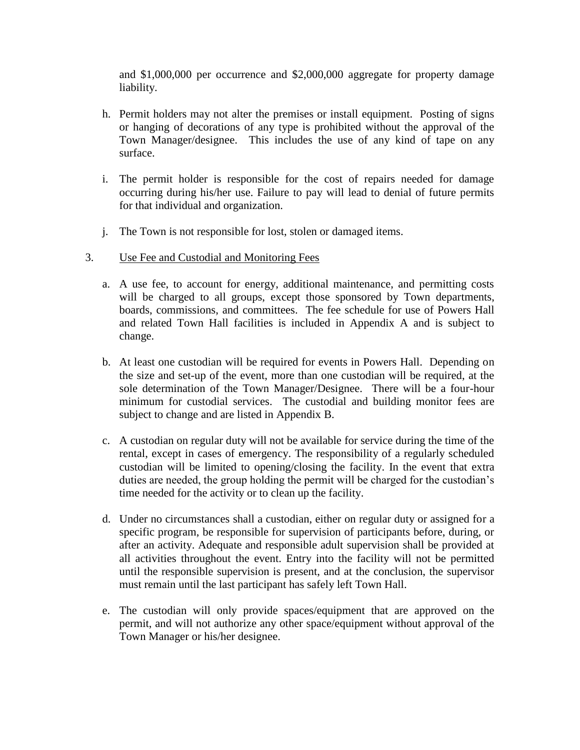and \$1,000,000 per occurrence and \$2,000,000 aggregate for property damage liability.

- h. Permit holders may not alter the premises or install equipment. Posting of signs or hanging of decorations of any type is prohibited without the approval of the Town Manager/designee. This includes the use of any kind of tape on any surface.
- i. The permit holder is responsible for the cost of repairs needed for damage occurring during his/her use. Failure to pay will lead to denial of future permits for that individual and organization.
- j. The Town is not responsible for lost, stolen or damaged items.
- 3. Use Fee and Custodial and Monitoring Fees
	- a. A use fee, to account for energy, additional maintenance, and permitting costs will be charged to all groups, except those sponsored by Town departments, boards, commissions, and committees. The fee schedule for use of Powers Hall and related Town Hall facilities is included in Appendix A and is subject to change.
	- b. At least one custodian will be required for events in Powers Hall. Depending on the size and set-up of the event, more than one custodian will be required, at the sole determination of the Town Manager/Designee. There will be a four-hour minimum for custodial services. The custodial and building monitor fees are subject to change and are listed in Appendix B.
	- c. A custodian on regular duty will not be available for service during the time of the rental, except in cases of emergency. The responsibility of a regularly scheduled custodian will be limited to opening/closing the facility. In the event that extra duties are needed, the group holding the permit will be charged for the custodian's time needed for the activity or to clean up the facility.
	- d. Under no circumstances shall a custodian, either on regular duty or assigned for a specific program, be responsible for supervision of participants before, during, or after an activity. Adequate and responsible adult supervision shall be provided at all activities throughout the event. Entry into the facility will not be permitted until the responsible supervision is present, and at the conclusion, the supervisor must remain until the last participant has safely left Town Hall.
	- e. The custodian will only provide spaces/equipment that are approved on the permit, and will not authorize any other space/equipment without approval of the Town Manager or his/her designee.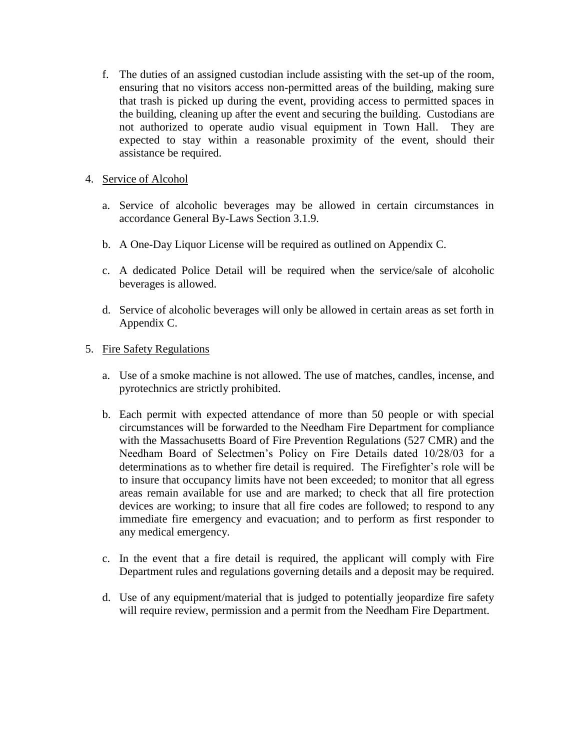f. The duties of an assigned custodian include assisting with the set-up of the room, ensuring that no visitors access non-permitted areas of the building, making sure that trash is picked up during the event, providing access to permitted spaces in the building, cleaning up after the event and securing the building. Custodians are not authorized to operate audio visual equipment in Town Hall. They are expected to stay within a reasonable proximity of the event, should their assistance be required.

## 4. Service of Alcohol

- a. Service of alcoholic beverages may be allowed in certain circumstances in accordance General By-Laws Section 3.1.9.
- b. A One-Day Liquor License will be required as outlined on Appendix C.
- c. A dedicated Police Detail will be required when the service/sale of alcoholic beverages is allowed.
- d. Service of alcoholic beverages will only be allowed in certain areas as set forth in Appendix C.

# 5. Fire Safety Regulations

- a. Use of a smoke machine is not allowed. The use of matches, candles, incense, and pyrotechnics are strictly prohibited.
- b. Each permit with expected attendance of more than 50 people or with special circumstances will be forwarded to the Needham Fire Department for compliance with the Massachusetts Board of Fire Prevention Regulations (527 CMR) and the Needham Board of Selectmen's Policy on Fire Details dated 10/28/03 for a determinations as to whether fire detail is required. The Firefighter's role will be to insure that occupancy limits have not been exceeded; to monitor that all egress areas remain available for use and are marked; to check that all fire protection devices are working; to insure that all fire codes are followed; to respond to any immediate fire emergency and evacuation; and to perform as first responder to any medical emergency.
- c. In the event that a fire detail is required, the applicant will comply with Fire Department rules and regulations governing details and a deposit may be required.
- d. Use of any equipment/material that is judged to potentially jeopardize fire safety will require review, permission and a permit from the Needham Fire Department.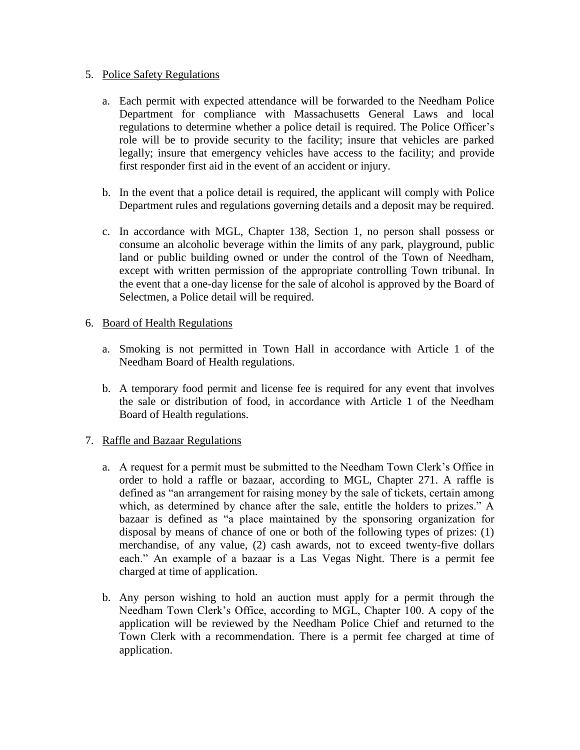#### 5. Police Safety Regulations

- a. Each permit with expected attendance will be forwarded to the Needham Police Department for compliance with Massachusetts General Laws and local regulations to determine whether a police detail is required. The Police Officer's role will be to provide security to the facility; insure that vehicles are parked legally; insure that emergency vehicles have access to the facility; and provide first responder first aid in the event of an accident or injury.
- b. In the event that a police detail is required, the applicant will comply with Police Department rules and regulations governing details and a deposit may be required.
- c. In accordance with MGL, Chapter 138, Section 1, no person shall possess or consume an alcoholic beverage within the limits of any park, playground, public land or public building owned or under the control of the Town of Needham, except with written permission of the appropriate controlling Town tribunal. In the event that a one-day license for the sale of alcohol is approved by the Board of Selectmen, a Police detail will be required.

### 6. Board of Health Regulations

- a. Smoking is not permitted in Town Hall in accordance with Article 1 of the Needham Board of Health regulations.
- b. A temporary food permit and license fee is required for any event that involves the sale or distribution of food, in accordance with Article 1 of the Needham Board of Health regulations.

# 7. Raffle and Bazaar Regulations

- a. A request for a permit must be submitted to the Needham Town Clerk's Office in order to hold a raffle or bazaar, according to MGL, Chapter 271. A raffle is defined as "an arrangement for raising money by the sale of tickets, certain among which, as determined by chance after the sale, entitle the holders to prizes." A bazaar is defined as "a place maintained by the sponsoring organization for disposal by means of chance of one or both of the following types of prizes: (1) merchandise, of any value, (2) cash awards, not to exceed twenty-five dollars each." An example of a bazaar is a Las Vegas Night. There is a permit fee charged at time of application.
- b. Any person wishing to hold an auction must apply for a permit through the Needham Town Clerk's Office, according to MGL, Chapter 100. A copy of the application will be reviewed by the Needham Police Chief and returned to the Town Clerk with a recommendation. There is a permit fee charged at time of application.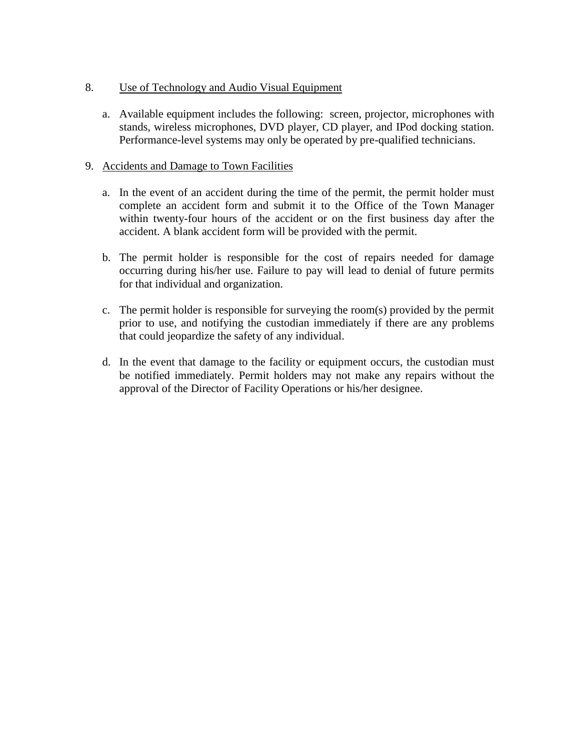- 8. Use of Technology and Audio Visual Equipment
	- a. Available equipment includes the following: screen, projector, microphones with stands, wireless microphones, DVD player, CD player, and IPod docking station. Performance-level systems may only be operated by pre-qualified technicians.

### 9. Accidents and Damage to Town Facilities

- a. In the event of an accident during the time of the permit, the permit holder must complete an accident form and submit it to the Office of the Town Manager within twenty-four hours of the accident or on the first business day after the accident. A blank accident form will be provided with the permit.
- b. The permit holder is responsible for the cost of repairs needed for damage occurring during his/her use. Failure to pay will lead to denial of future permits for that individual and organization.
- c. The permit holder is responsible for surveying the room(s) provided by the permit prior to use, and notifying the custodian immediately if there are any problems that could jeopardize the safety of any individual.
- d. In the event that damage to the facility or equipment occurs, the custodian must be notified immediately. Permit holders may not make any repairs without the approval of the Director of Facility Operations or his/her designee.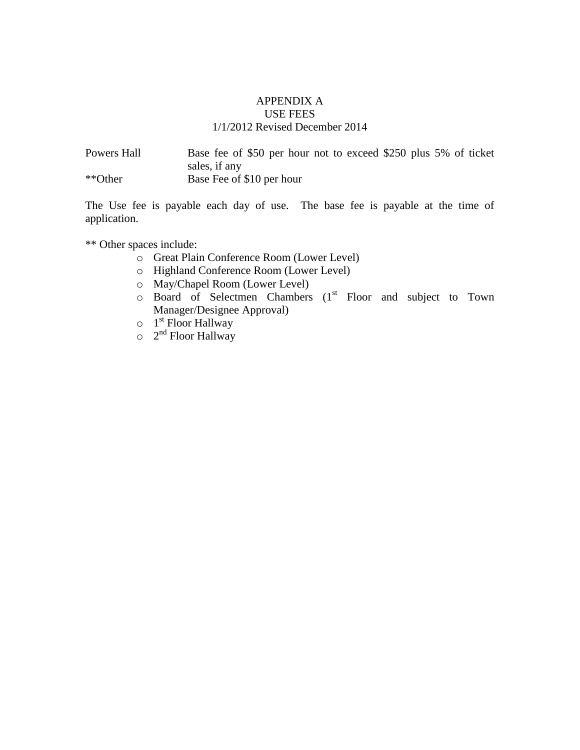### APPENDIX A USE FEES 1/1/2012 Revised December 2014

| Powers Hall | Base fee of \$50 per hour not to exceed \$250 plus 5% of ticket |
|-------------|-----------------------------------------------------------------|
|             | sales, if any                                                   |
| **Other     | Base Fee of \$10 per hour                                       |

The Use fee is payable each day of use. The base fee is payable at the time of application.

\*\* Other spaces include:

- o Great Plain Conference Room (Lower Level)
- o Highland Conference Room (Lower Level)
- o May/Chapel Room (Lower Level)
- $\circ$  Board of Selectmen Chambers (1<sup>st</sup> Floor and subject to Town Manager/Designee Approval)
- $\circ$  1<sup>st</sup> Floor Hallway
- $\circ$  2<sup>nd</sup> Floor Hallway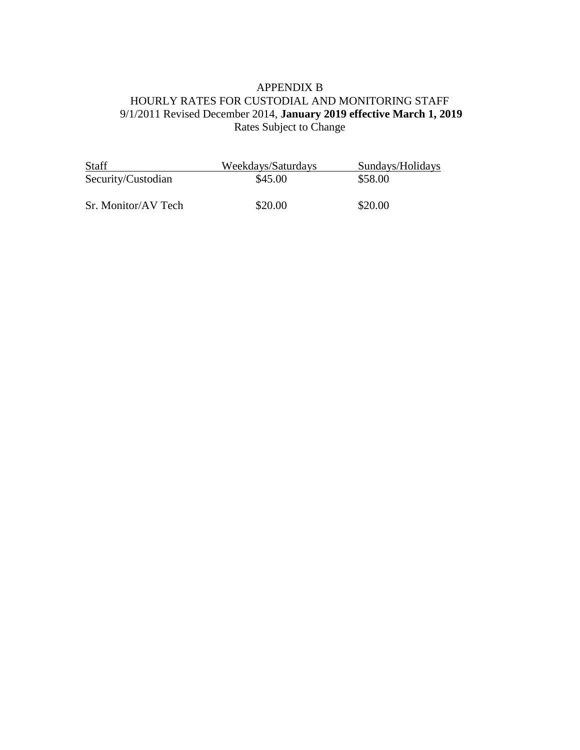# APPENDIX B HOURLY RATES FOR CUSTODIAL AND MONITORING STAFF 9/1/2011 Revised December 2014, **January 2019 effective March 1, 2019** Rates Subject to Change

| <b>Staff</b>        | Weekdays/Saturdays | Sundays/Holidays |
|---------------------|--------------------|------------------|
| Security/Custodian  | \$45.00            | \$58.00          |
| Sr. Monitor/AV Tech | \$20.00            | \$20.00          |